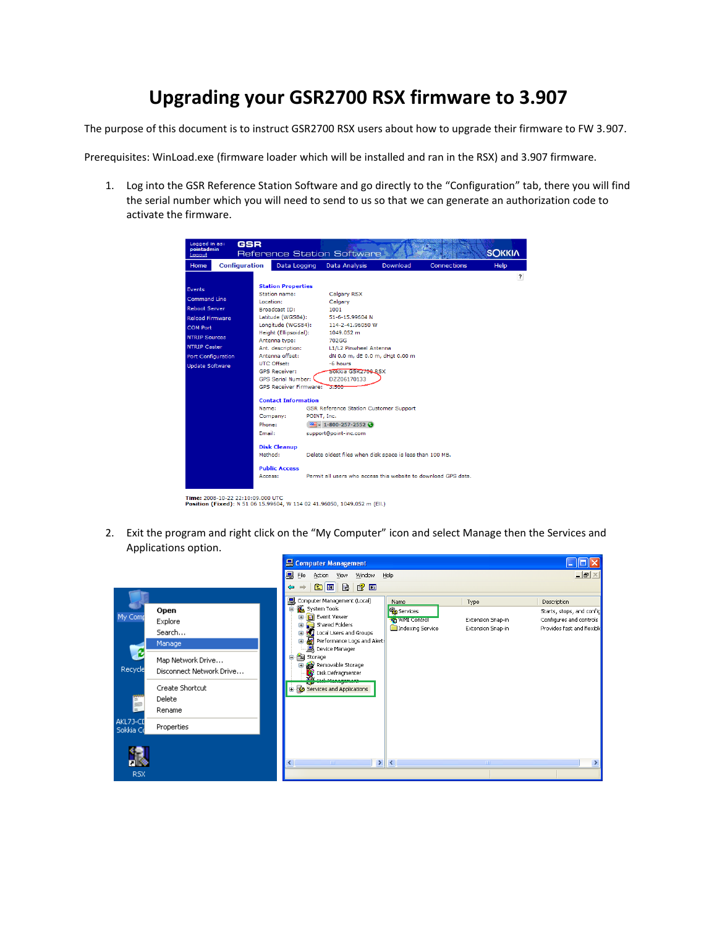## **Upgrading your GSR2700 RSX firmware to 3.907**

The purpose of this document is to instruct GSR2700 RSX users about how to upgrade their firmware to FW 3.907.

Prerequisites: WinLoad.exe (firmware loader which will be installed and ran in the RSX) and 3.907 firmware.

1. Log into the GSR Reference Station Software and go directly to the "Configuration" tab, there you will find the serial number which you will need to send to us so that we can generate an authorization code to activate the firmware.



Time: 2008-10-22 22:10:09.000 UTC<br>Position (Fixed): N 51 06 15.99604, W 114 02 41.96050, 1049.052 m (Ell.)

2. Exit the program and right click on the "My Computer" icon and select Manage then the Services and Applications option.

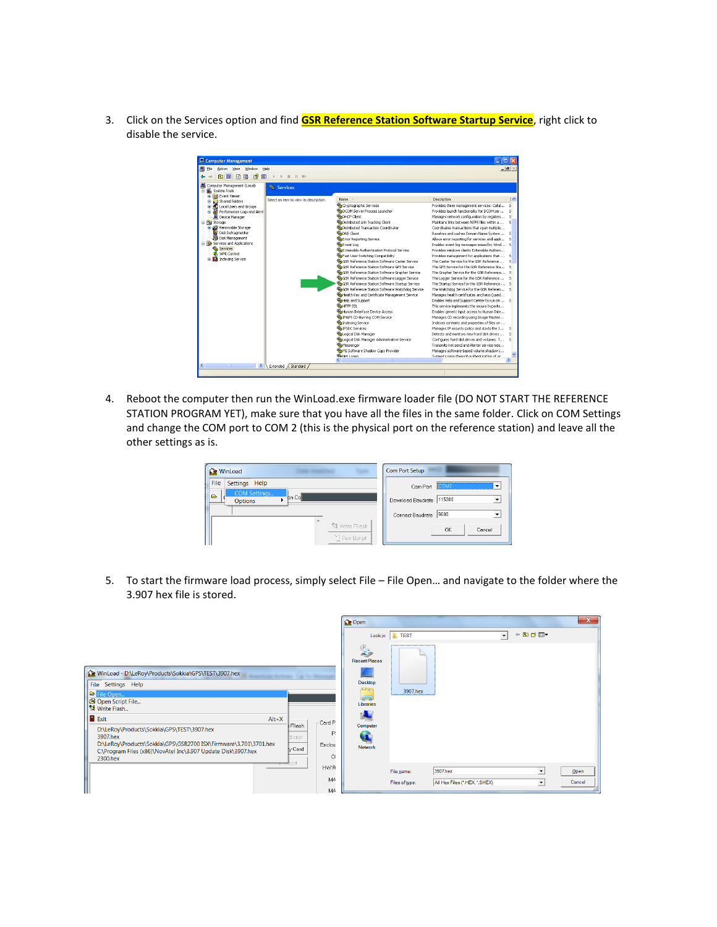3. Click on the Services option and find **GSR Reference Station Software Startup Service**, right click to disable the service.



4. Reboot the computer then run the WinLoad.exe firmware loader file (DO NOT START THE REFERENCE STATION PROGRAM YET), make sure that you have all the files in the same folder. Click on COM Settings and change the COM port to COM 2 (this is the physical port on the reference station) and leave all the other settings as is.

|              | Com Port Setup                          |
|--------------|-----------------------------------------|
|              | COM <sub>2</sub><br>Com Port            |
| <b>bn</b> Co | Download Baudrate 115200                |
|              | 9600<br>Connect Baudrate                |
|              | OK<br>Cancel                            |
|              | <b>Kal</b> Write Fllash<br>" Run Script |

5. To start the firmware load process, simply select File – File Open… and navigate to the folder where the 3.907 hex file is stored.

|                                                                                                                                                                                                                                                                                                                                                                                                                              | $\mathbf{x}$<br><b>C</b> e Open                                                                                                                               |
|------------------------------------------------------------------------------------------------------------------------------------------------------------------------------------------------------------------------------------------------------------------------------------------------------------------------------------------------------------------------------------------------------------------------------|---------------------------------------------------------------------------------------------------------------------------------------------------------------|
|                                                                                                                                                                                                                                                                                                                                                                                                                              | $+$ a $+$ a $-$<br>$\blacktriangledown$<br><b>IL TEST</b><br>Look in:                                                                                         |
| WinLoad - D:\LeRoy\Products\Sokkia\GPS\TEST\3907.hex<br>File Settings Help<br><b>B</b> File Open<br>Open Script File<br>S Write Flash<br><b>Exit</b><br>$Alt+X$<br>Card P<br>Fllash<br>D:\LeRoy\Products\Sokkia\GPS\TEST\3907.hex<br>3907.hex<br>Script<br>D:\LeRoy\Products\Sokkia\GPS\GSR2700 ISX\Firmware\3.701\3701.hex<br>Enclos<br>y Card<br>C:\Program Files (x86)\NovAtel Inc\3.907 Update Disk\3907.hex<br>2300.hex | $\mathbb{R}$<br><b>Recent Places</b><br><b>Desktop</b><br><b>Francis</b><br>3907.hex<br>a an<br>Libraries<br>Computer<br>P.<br>Æ<br><b>Network</b><br>$\circ$ |
| — con<br><b>HWR</b>                                                                                                                                                                                                                                                                                                                                                                                                          | 3907.hex<br>$\blacktriangledown$<br>File name:<br>Open                                                                                                        |
| MA                                                                                                                                                                                                                                                                                                                                                                                                                           | All Hex Files (*.HEX, *.SHEX)<br>Cancel<br>Files of type:<br>$\blacktriangledown$                                                                             |
|                                                                                                                                                                                                                                                                                                                                                                                                                              | MA                                                                                                                                                            |